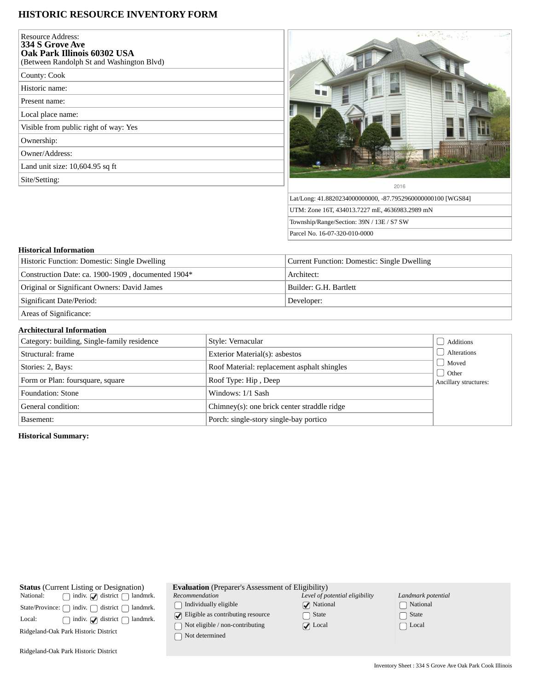# **HISTORIC RESOURCE INVENTORY FORM**

| <b>Resource Address:</b><br>334 S Grove Ave<br>Oak Park Illinois 60302 USA<br>(Between Randolph St and Washington Blvd) |                     |
|-------------------------------------------------------------------------------------------------------------------------|---------------------|
| County: Cook                                                                                                            |                     |
| Historic name:                                                                                                          |                     |
| Present name:                                                                                                           |                     |
| Local place name:                                                                                                       |                     |
| Visible from public right of way: Yes                                                                                   |                     |
| Ownership:                                                                                                              |                     |
| Owner/Address:                                                                                                          |                     |
| Land unit size: 10,604.95 sq ft                                                                                         |                     |
| Site/Setting:                                                                                                           |                     |
|                                                                                                                         | Lat/Long: 41.882023 |
|                                                                                                                         | UTM: Zone 16T, 43-  |



Parcel No. 16-07-320-010-0000

*Level of potential eligibility*

**V** National State ◯ Local

#### **Historical Information**

| Historic Function: Domestic: Single Dwelling       | Current Function: Domestic: Single Dwelling |  |
|----------------------------------------------------|---------------------------------------------|--|
| Construction Date: ca. 1900-1909, documented 1904* | Architect:                                  |  |
| Original or Significant Owners: David James        | Builder: G.H. Bartlett                      |  |
| Significant Date/Period:                           | Developer:                                  |  |
| Areas of Significance:                             |                                             |  |

### **Architectural Information**

| Category: building, Single-family residence | Style: Vernacular                           | Additions             |
|---------------------------------------------|---------------------------------------------|-----------------------|
| Structural: frame                           | Exterior Material(s): asbestos              | Alterations           |
| Stories: 2, Bays:                           | Roof Material: replacement asphalt shingles | Moved<br>J Other      |
| Form or Plan: foursquare, square            | Roof Type: Hip, Deep                        | Ancillary structures: |
| Foundation: Stone                           | Windows: 1/1 Sash                           |                       |
| General condition:                          | Chimney(s): one brick center straddle ridge |                       |
| Basement:                                   | Porch: single-story single-bay portico      |                       |

## **Historical Summary:**

| <b>Status</b> (Current Listing or Designation)                            | <b>Evaluation</b> (Preparer's Assessment of Eligibility) |                   |
|---------------------------------------------------------------------------|----------------------------------------------------------|-------------------|
| $\Box$ indiv. $\Box$ district $\Box$ landmrk.<br>National:                | Recommendation                                           | Level of po       |
| State/Province: $\bigcap$ indiv. $\bigcap$ district $\bigcap$<br>landmrk. | Individually eligible                                    | $\sqrt{ }$ Nation |
| indiv. $\bigcirc$ district $\bigcap$<br>Local:<br>landmrk.                | $\sqrt{\phantom{a}}$ Eligible as contributing resource   | State             |
| Ridgeland-Oak Park Historic District                                      | $\bigcap$ Not eligible / non-contributing                | $\sqrt{ }$ Local  |
|                                                                           | Not determined                                           |                   |
|                                                                           |                                                          |                   |

*Landmark potential* National □ State  $\Box$  Local

Ridgeland-Oak Park Historic District